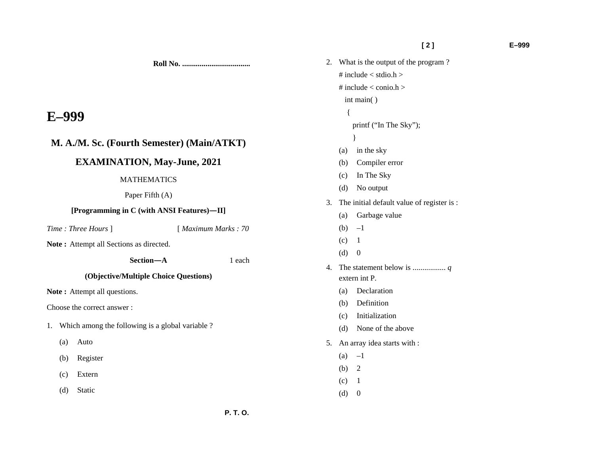1 each

 **[ 2 ] E–999** 

**Roll No. ...................................** 

# **E–999**

# **M. A./M. Sc. (Fourth Semester) (Main/ATKT)**

## **EXAMINATION, May-June, 2021**

### MATHEMATICS

### Paper Fifth (A)

### **[Programming in C (with ANSI Features)—II]**

*Time : Three Hours* ] [ *Maximum Marks : 70* 

**Note :** Attempt all Sections as directed.

**Section**—**A** 

## **(Objective/Multiple Choice Questions)**

Note: Attempt all questions.

Choose the correct answer :

- 1. Which among the following is a global variable ?
	- (a) Auto
	- (b) Register
	- (c) Extern
	- (d) Static

| 2. | What is the output of the program?         |                           |  |  |
|----|--------------------------------------------|---------------------------|--|--|
|    | # include $<$ stdio.h $>$                  |                           |  |  |
|    |                                            | # include $<$ conio.h $>$ |  |  |
|    |                                            | int main()                |  |  |
|    | $\{$                                       |                           |  |  |
|    | printf ("In The Sky");                     |                           |  |  |
|    |                                            | $\mathcal{E}$             |  |  |
|    | (a)                                        | in the sky                |  |  |
|    |                                            | (b) Compiler error        |  |  |
|    |                                            | (c) In The Sky            |  |  |
|    | (d)                                        | No output                 |  |  |
| 3. | The initial default value of register is : |                           |  |  |
|    | (a)                                        | Garbage value             |  |  |
|    | (b) $-1$                                   |                           |  |  |
|    | $(c)$ 1                                    |                           |  |  |
|    | (d)                                        | $\boldsymbol{0}$          |  |  |
| 4. |                                            |                           |  |  |
|    |                                            | extern int P.             |  |  |
|    | (a)                                        | Declaration               |  |  |
|    |                                            | (b) Definition            |  |  |
|    |                                            | (c) Initialization        |  |  |
|    |                                            | (d) None of the above     |  |  |
| 5. | An array idea starts with :                |                           |  |  |
|    | (a)                                        | $-1$                      |  |  |
|    | (b)                                        | 2                         |  |  |
|    | (c)                                        | 1                         |  |  |
|    | (d)                                        | $\boldsymbol{0}$          |  |  |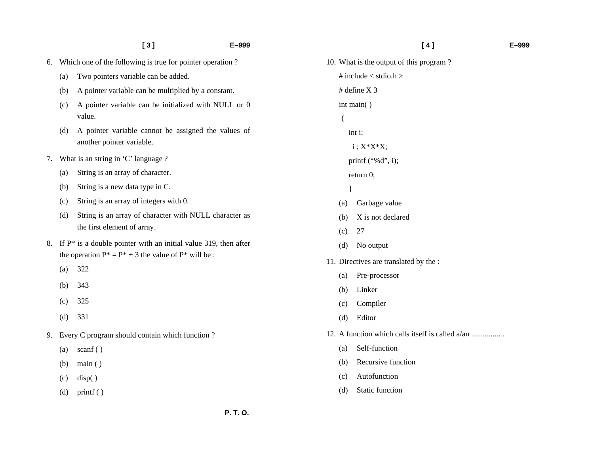|    |     | [3]<br>E-999                                                                                                                     |  |
|----|-----|----------------------------------------------------------------------------------------------------------------------------------|--|
| б. |     | Which one of the following is true for pointer operation?                                                                        |  |
|    | (a) | Two pointers variable can be added.                                                                                              |  |
|    | (b) | A pointer variable can be multiplied by a constant.                                                                              |  |
|    | (c) | A pointer variable can be initialized with NULL or 0<br>value.                                                                   |  |
|    | (d) | A pointer variable cannot be assigned the values of<br>another pointer variable.                                                 |  |
| 7. |     | What is an string in 'C' language ?                                                                                              |  |
|    | (a) | String is an array of character.                                                                                                 |  |
|    | (b) | String is a new data type in C.                                                                                                  |  |
|    | (c) | String is an array of integers with 0.                                                                                           |  |
|    | (d) | String is an array of character with NULL character as<br>the first element of array.                                            |  |
| 8. |     | If $P^*$ is a double pointer with an initial value 319, then after<br>the operation $P^* = P^* + 3$ the value of $P^*$ will be : |  |
|    | (a) | 322                                                                                                                              |  |
|    | (b) | 343                                                                                                                              |  |
|    | (c) | 325                                                                                                                              |  |
|    | (d) | 331                                                                                                                              |  |
| 9. |     | Every C program should contain which function?                                                                                   |  |
|    | (a) | scanf $()$                                                                                                                       |  |
|    | (b) | main()                                                                                                                           |  |
|    | (c) | disp()                                                                                                                           |  |
|    | (d) | print()                                                                                                                          |  |
|    |     |                                                                                                                                  |  |

# **[ 4 ] E–999**  10. What is the output of this program ? # include  $\lt$  stdio.h  $>$ # define X 3 int main( ) int i;  $i$ ;  $X^*X^*X$ ; printf ("%d", i); return 0; (a) Garbage value (b) X is not declared (c) 27 (d) No output 11. Directives are translated by the : (a) Pre-processor (b) Linker (c) Compiler (d) Editor 12. A function which calls itself is called a/an ............... . (a) Self-function (b) Recursive function (c) Autofunction

 $\left\{ \right.$ 

}

(d) Static function

 **P. T. O.**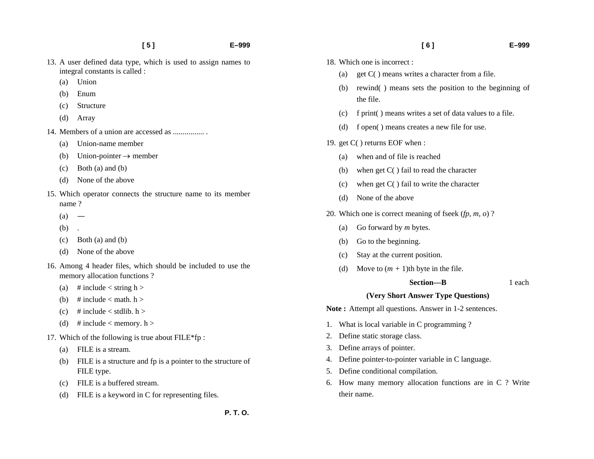- 13. A user defined data type, which is used to assign names to integral constants is called :
	- (a) Union
	- (b) Enum
	- (c) Structure
	- (d) Array
- 14. Members of a union are accessed as ................ .
	- (a) Union-name member
	- (b) Union-pointer  $\rightarrow$  member
	- (c) Both (a) and (b)
	- (d) None of the above
- 15. Which operator connects the structure name to its member name ?
	- $(a)$  —
	- (b) .
	- (c) Both (a) and (b)
	- (d) None of the above
- 16. Among 4 header files, which should be included to use the memory allocation functions ?
	- (a) # include < string  $h >$
	- (b)  $\#$  include  $\lt$  math. h  $>$
	- (c)  $\#$  include < stdlib. h >
	- (d) # include < memory.  $h >$
- 17. Which of the following is true about FILE\*fp :
	- (a) FILE is a stream.
	- (b) FILE is a structure and fp is a pointer to the structure of FILE type.
	- (c) FILE is a buffered stream.
	- (d) FILE is a keyword in C for representing files.

- 18. Which one is incorrect :
	- (a) get C( ) means writes a character from a file.
	- (b) rewind( ) means sets the position to the beginning of the file.
	- (c) f print( ) means writes a set of data values to a file.
	- (d) f open( ) means creates a new file for use.
- 19. get C( ) returns EOF when :
	- (a) when and of file is reached
	- (b) when get C( ) fail to read the character
	- (c) when get C( ) fail to write the character
	- (d) None of the above
- 20. Which one is correct meaning of fseek (*fp, m, o*) ?
	- (a) Go forward by *m* bytes.
	- (b) Go to the beginning.
	- (c) Stay at the current position.
	- (d) Move to  $(m + 1)$ th byte in the file.

#### **Section—B** 1 each

### **(Very Short Answer Type Questions)**

Note: Attempt all questions. Answer in 1-2 sentences.

- 1. What is local variable in C programming ?
- 2. Define static storage class.
- 3. Define arrays of pointer.
- 4. Define pointer-to-pointer variable in C language.
- 5. Define conditional compilation.
- 6. How many memory allocation functions are in C ? Write their name.